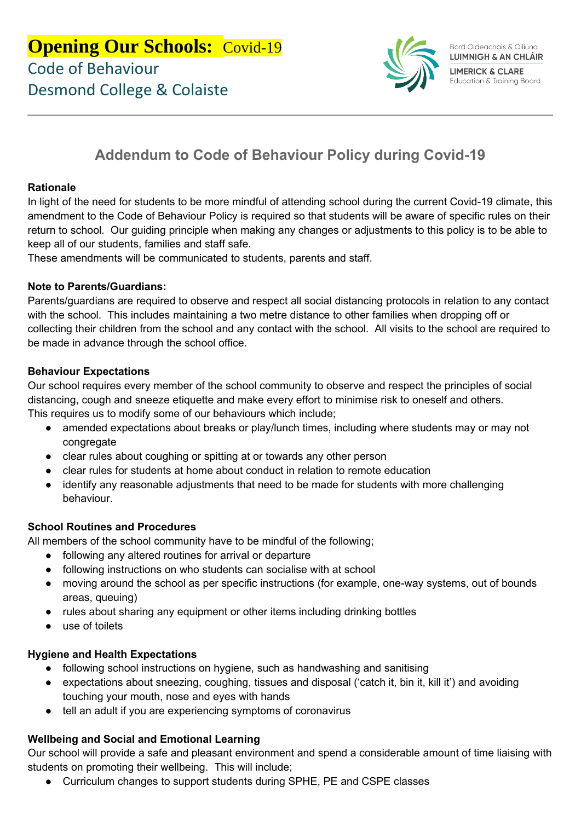

# **Addendum to Code of Behaviour Policy during Covid-19**

### **Rationale**

In light of the need for students to be more mindful of attending school during the current Covid-19 climate, this amendment to the Code of Behaviour Policy is required so that students will be aware of specific rules on their return to school. Our guiding principle when making any changes or adjustments to this policy is to be able to keep all of our students, families and staff safe.

These amendments will be communicated to students, parents and staff.

#### **Note to Parents/Guardians:**

Parents/guardians are required to observe and respect all social distancing protocols in relation to any contact with the school. This includes maintaining a two metre distance to other families when dropping off or collecting their children from the school and any contact with the school. All visits to the school are required to be made in advance through the school office.

#### **Behaviour Expectations**

Our school requires every member of the school community to observe and respect the principles of social distancing, cough and sneeze etiquette and make every effort to minimise risk to oneself and others. This requires us to modify some of our behaviours which include;

- amended expectations about breaks or play/lunch times, including where students may or may not congregate
- clear rules about coughing or spitting at or towards any other person
- clear rules for students at home about conduct in relation to remote education
- identify any reasonable adjustments that need to be made for students with more challenging behaviour.

### **School Routines and Procedures**

All members of the school community have to be mindful of the following;

- following any altered routines for arrival or departure
- following instructions on who students can socialise with at school
- moving around the school as per specific instructions (for example, one-way systems, out of bounds areas, queuing)
- rules about sharing any equipment or other items including drinking bottles
- use of toilets

### **Hygiene and Health Expectations**

- following school instructions on hygiene, such as handwashing and sanitising
- expectations about sneezing, coughing, tissues and disposal ('catch it, bin it, kill it') and avoiding touching your mouth, nose and eyes with hands
- tell an adult if you are experiencing symptoms of coronavirus

### **Wellbeing and Social and Emotional Learning**

Our school will provide a safe and pleasant environment and spend a considerable amount of time liaising with students on promoting their wellbeing. This will include;

● Curriculum changes to support students during SPHE, PE and CSPE classes